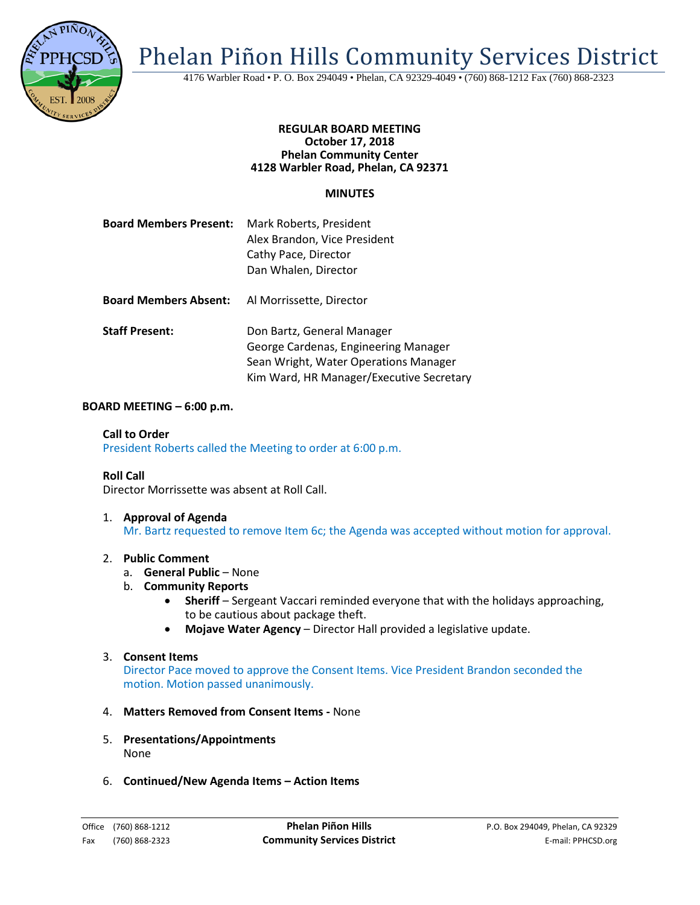

Phelan Piñon Hills Community Services District

4176 Warbler Road • P. O. Box 294049 • Phelan, CA 92329-4049 • (760) 868-1212 Fax (760) 868-2323

## **REGULAR BOARD MEETING October 17, 2018 Phelan Community Center 4128 Warbler Road, Phelan, CA 92371**

# **MINUTES**

| <b>Board Members Present:</b> | Mark Roberts, President<br>Alex Brandon, Vice President<br>Cathy Pace, Director<br>Dan Whalen, Director     |
|-------------------------------|-------------------------------------------------------------------------------------------------------------|
| <b>Board Members Absent:</b>  | Al Morrissette, Director                                                                                    |
| <b>Staff Present:</b>         | Don Bartz, General Manager<br>George Cardenas, Engineering Manager<br>Sean Wright, Water Operations Manager |

### **BOARD MEETING – 6:00 p.m.**

### **Call to Order**

President Roberts called the Meeting to order at 6:00 p.m.

### **Roll Call**

Director Morrissette was absent at Roll Call.

1. **Approval of Agenda** Mr. Bartz requested to remove Item 6c; the Agenda was accepted without motion for approval.

Kim Ward, HR Manager/Executive Secretary

### 2. **Public Comment**

- a. **General Public** None
- b. **Community Reports**
	- Sheriff Sergeant Vaccari reminded everyone that with the holidays approaching, to be cautious about package theft.
	- **Mojave Water Agency**  Director Hall provided a legislative update.

## 3. **Consent Items**

Director Pace moved to approve the Consent Items. Vice President Brandon seconded the motion. Motion passed unanimously.

# 4. **Matters Removed from Consent Items -** None

- 5. **Presentations/Appointments** None
- 6. **Continued/New Agenda Items – Action Items**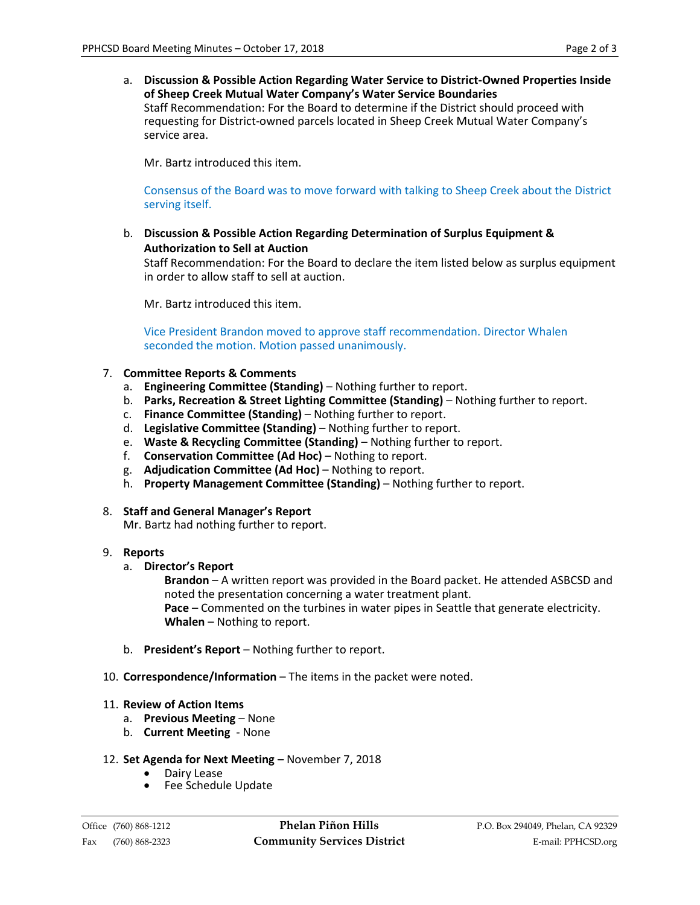a. **Discussion & Possible Action Regarding Water Service to District-Owned Properties Inside of Sheep Creek Mutual Water Company's Water Service Boundaries** Staff Recommendation: For the Board to determine if the District should proceed with requesting for District-owned parcels located in Sheep Creek Mutual Water Company's service area.

Mr. Bartz introduced this item.

Consensus of the Board was to move forward with talking to Sheep Creek about the District serving itself.

b. **Discussion & Possible Action Regarding Determination of Surplus Equipment & Authorization to Sell at Auction**

Staff Recommendation: For the Board to declare the item listed below as surplus equipment in order to allow staff to sell at auction.

Mr. Bartz introduced this item.

Vice President Brandon moved to approve staff recommendation. Director Whalen seconded the motion. Motion passed unanimously.

- 7. **Committee Reports & Comments**
	- a. **Engineering Committee (Standing)** Nothing further to report.
	- b. **Parks, Recreation & Street Lighting Committee (Standing)**  Nothing further to report.
	- c. **Finance Committee (Standing)** Nothing further to report.
	- d. **Legislative Committee (Standing)** Nothing further to report.
	- e. **Waste & Recycling Committee (Standing)**  Nothing further to report.
	- f. **Conservation Committee (Ad Hoc)** Nothing to report.
	- g. **Adjudication Committee (Ad Hoc)** Nothing to report.
	- h. **Property Management Committee (Standing)** Nothing further to report.
- 8. **Staff and General Manager's Report**

Mr. Bartz had nothing further to report.

## 9. **Reports**

a. **Director's Report** 

**Brandon** – A written report was provided in the Board packet. He attended ASBCSD and noted the presentation concerning a water treatment plant. **Pace** – Commented on the turbines in water pipes in Seattle that generate electricity.

**Whalen** – Nothing to report.

- b. **President's Report** Nothing further to report.
- 10. **Correspondence/Information** The items in the packet were noted.
- 11. **Review of Action Items**
	- a. **Previous Meeting** None
	- b. **Current Meeting** None
- 12. **Set Agenda for Next Meeting –** November 7, 2018
	- Dairy Lease
	- Fee Schedule Update